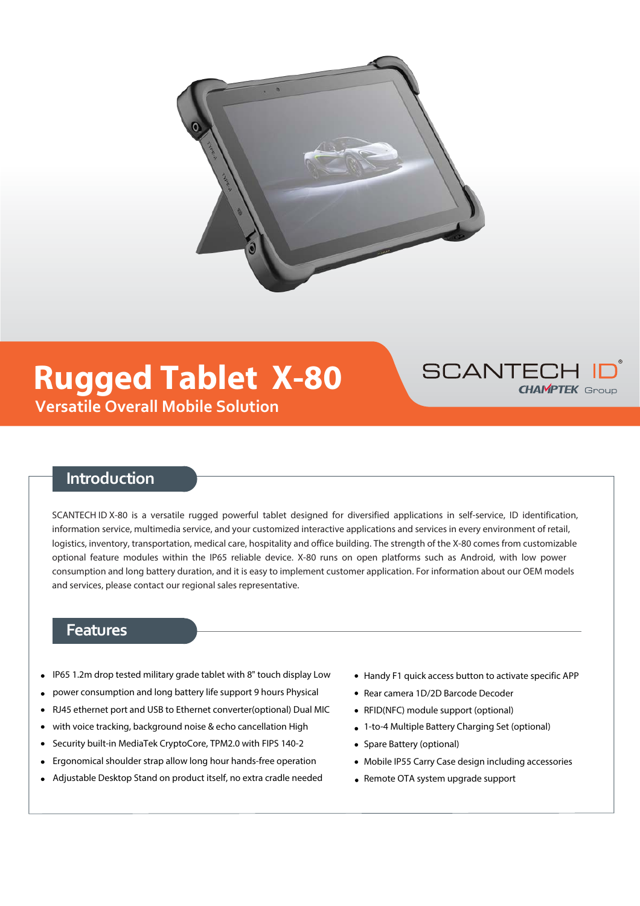

# **Versatile Overall Mobile Solution Rugged Tablet X-80**



## **Introduction**

SCANTECH ID X-80 is a versatile rugged powerful tablet designed for diversified applications in self-service, ID identification, information service, multimedia service, and your customized interactive applications and services in every environment of retail, logistics, inventory, transportation, medical care, hospitality and office building. The strength of the X-80 comes from customizable optional feature modules within the IP65 reliable device. X-80 runs on open platforms such as Android, with low power consumption and long battery duration, and it is easy to implement customer application. For information about our OEM models and services, please contact our regional sales representative.

### **Features**

- IP65 1.2m drop tested military grade tablet with 8" touch display Low
- power consumption and long battery life support 9 hours Physical
- RJ45 ethernet port and USB to Ethernet converter(optional) Dual MIC
- with voice tracking, background noise & echo cancellation High
- Security built-in MediaTek CryptoCore, TPM2.0 with FIPS 140-2
- Ergonomical shoulder strap allow long hour hands-free operation
- Adjustable Desktop Stand on product itself, no extra cradle needed
- Handy F1 quick access button to activate specific APP
- Rear camera 1D/2D Barcode Decoder
- RFID(NFC) module support (optional)
- 1-to-4 Multiple Battery Charging Set (optional)
- Spare Battery (optional)
- Mobile IP55 Carry Case design including accessories
- Remote OTA system upgrade support